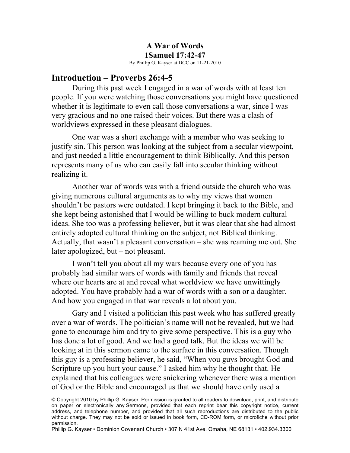#### **A War of Words 1Samuel 17:42-47** By Phillip G. Kayser at DCC on 11-21-2010

#### **Introduction – Proverbs 26:4-5**

During this past week I engaged in a war of words with at least ten people. If you were watching those conversations you might have questioned whether it is legitimate to even call those conversations a war, since I was very gracious and no one raised their voices. But there was a clash of worldviews expressed in these pleasant dialogues.

One war was a short exchange with a member who was seeking to justify sin. This person was looking at the subject from a secular viewpoint, and just needed a little encouragement to think Biblically. And this person represents many of us who can easily fall into secular thinking without realizing it.

Another war of words was with a friend outside the church who was giving numerous cultural arguments as to why my views that women shouldn't be pastors were outdated. I kept bringing it back to the Bible, and she kept being astonished that I would be willing to buck modern cultural ideas. She too was a professing believer, but it was clear that she had almost entirely adopted cultural thinking on the subject, not Biblical thinking. Actually, that wasn't a pleasant conversation – she was reaming me out. She later apologized, but – not pleasant.

I won't tell you about all my wars because every one of you has probably had similar wars of words with family and friends that reveal where our hearts are at and reveal what worldview we have unwittingly adopted. You have probably had a war of words with a son or a daughter. And how you engaged in that war reveals a lot about you.

Gary and I visited a politician this past week who has suffered greatly over a war of words. The politician's name will not be revealed, but we had gone to encourage him and try to give some perspective. This is a guy who has done a lot of good. And we had a good talk. But the ideas we will be looking at in this sermon came to the surface in this conversation. Though this guy is a professing believer, he said, "When you guys brought God and Scripture up you hurt your cause." I asked him why he thought that. He explained that his colleagues were snickering whenever there was a mention of God or the Bible and encouraged us that we should have only used a

© Copyright 2010 by Phillip G. Kayser. Permission is granted to all readers to download, print, and distribute on paper or electronically any Sermons, provided that each reprint bear this copyright notice, current address, and telephone number, and provided that all such reproductions are distributed to the public without charge. They may not be sold or issued in book form, CD-ROM form, or microfiche without prior permission.

Phillip G. Kayser • Dominion Covenant Church • 307.N 41st Ave. Omaha, NE 68131 • 402.934.3300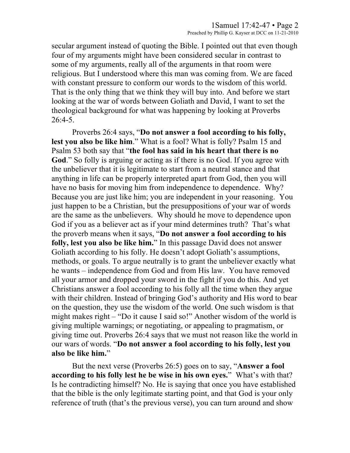secular argument instead of quoting the Bible. I pointed out that even though four of my arguments might have been considered secular in contrast to some of my arguments, really all of the arguments in that room were religious. But I understood where this man was coming from. We are faced with constant pressure to conform our words to the wisdom of this world. That is the only thing that we think they will buy into. And before we start looking at the war of words between Goliath and David, I want to set the theological background for what was happening by looking at Proverbs  $26:4-5.$ 

Proverbs 26:4 says, "**Do not answer a fool according to his folly, lest you also be like him**." What is a fool? What is folly? Psalm 15 and Psalm 53 both say that "**the fool has said in his heart that there is no God**." So folly is arguing or acting as if there is no God. If you agree with the unbeliever that it is legitimate to start from a neutral stance and that anything in life can be properly interpreted apart from God, then you will have no basis for moving him from independence to dependence. Why? Because you are just like him; you are independent in your reasoning. You just happen to be a Christian, but the presuppositions of your war of words are the same as the unbelievers. Why should he move to dependence upon God if you as a believer act as if your mind determines truth? That's what the proverb means when it says, "**Do not answer a fool according to his folly, lest you also be like him.**" In this passage David does not answer Goliath according to his folly. He doesn't adopt Goliath's assumptions, methods, or goals. To argue neutrally is to grant the unbeliever exactly what he wants – independence from God and from His law. You have removed all your armor and dropped your sword in the fight if you do this. And yet Christians answer a fool according to his folly all the time when they argue with their children. Instead of bringing God's authority and His word to bear on the question, they use the wisdom of the world. One such wisdom is that might makes right – "Do it cause I said so!" Another wisdom of the world is giving multiple warnings; or negotiating, or appealing to pragmatism, or giving time out. Proverbs 26:4 says that we must not reason like the world in our wars of words. "**Do not answer a fool according to his folly, lest you also be like him.**"

But the next verse (Proverbs 26:5) goes on to say, "**Answer a fool according to his folly lest he be wise in his own eyes.**" What's with that? Is he contradicting himself? No. He is saying that once you have established that the bible is the only legitimate starting point, and that God is your only reference of truth (that's the previous verse), you can turn around and show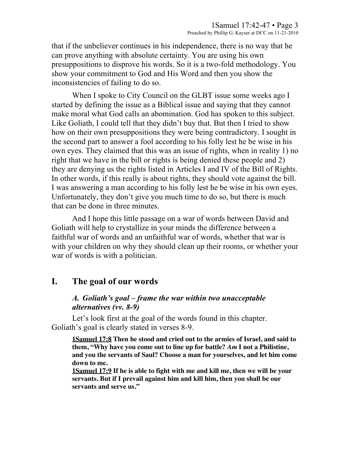that if the unbeliever continues in his independence, there is no way that he can prove anything with absolute certainty. You are using his own presuppositions to disprove his words. So it is a two-fold methodology. You show your commitment to God and His Word and then you show the inconsistencies of failing to do so.

When I spoke to City Council on the GLBT issue some weeks ago I started by defining the issue as a Biblical issue and saying that they cannot make moral what God calls an abomination. God has spoken to this subject. Like Goliath, I could tell that they didn't buy that. But then I tried to show how on their own presuppositions they were being contradictory. I sought in the second part to answer a fool according to his folly lest he be wise in his own eyes. They claimed that this was an issue of rights, when in reality 1) no right that we have in the bill or rights is being denied these people and 2) they are denying us the rights listed in Articles I and IV of the Bill of Rights. In other words, if this really is about rights, they should vote against the bill. I was answering a man according to his folly lest he be wise in his own eyes. Unfortunately, they don't give you much time to do so, but there is much that can be done in three minutes.

And I hope this little passage on a war of words between David and Goliath will help to crystallize in your minds the difference between a faithful war of words and an unfaithful war of words, whether that war is with your children on why they should clean up their rooms, or whether your war of words is with a politician.

## **I. The goal of our words**

#### *A. Goliath's goal – frame the war within two unacceptable alternatives (vv. 8-9)*

Let's look first at the goal of the words found in this chapter. Goliath's goal is clearly stated in verses 8-9.

**1Samuel 17:8 Then he stood and cried out to the armies of Israel, and said to them, "Why have you come out to line up for battle?** *Am* **I not a Philistine, and you the servants of Saul? Choose a man for yourselves, and let him come down to me.** 

**1Samuel 17:9 If he is able to fight with me and kill me, then we will be your servants. But if I prevail against him and kill him, then you shall be our servants and serve us."**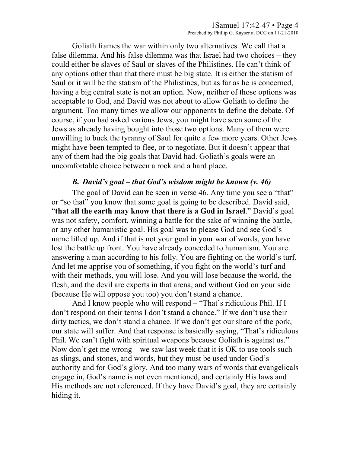Goliath frames the war within only two alternatives. We call that a false dilemma. And his false dilemma was that Israel had two choices – they could either be slaves of Saul or slaves of the Philistines. He can't think of any options other than that there must be big state. It is either the statism of Saul or it will be the statism of the Philistines, but as far as he is concerned, having a big central state is not an option. Now, neither of those options was acceptable to God, and David was not about to allow Goliath to define the argument. Too many times we allow our opponents to define the debate. Of course, if you had asked various Jews, you might have seen some of the Jews as already having bought into those two options. Many of them were unwilling to buck the tyranny of Saul for quite a few more years. Other Jews might have been tempted to flee, or to negotiate. But it doesn't appear that any of them had the big goals that David had. Goliath's goals were an uncomfortable choice between a rock and a hard place.

#### *B. David's goal – that God's wisdom might be known (v. 46)*

The goal of David can be seen in verse 46. Any time you see a "that" or "so that" you know that some goal is going to be described. David said, "**that all the earth may know that there is a God in Israel**." David's goal was not safety, comfort, winning a battle for the sake of winning the battle, or any other humanistic goal. His goal was to please God and see God's name lifted up. And if that is not your goal in your war of words, you have lost the battle up front. You have already conceded to humanism. You are answering a man according to his folly. You are fighting on the world's turf. And let me apprise you of something, if you fight on the world's turf and with their methods, you will lose. And you will lose because the world, the flesh, and the devil are experts in that arena, and without God on your side (because He will oppose you too) you don't stand a chance.

And I know people who will respond – "That's ridiculous Phil. If I don't respond on their terms I don't stand a chance." If we don't use their dirty tactics, we don't stand a chance. If we don't get our share of the pork, our state will suffer. And that response is basically saying, "That's ridiculous Phil. We can't fight with spiritual weapons because Goliath is against us." Now don't get me wrong – we saw last week that it is OK to use tools such as slings, and stones, and words, but they must be used under God's authority and for God's glory. And too many wars of words that evangelicals engage in, God's name is not even mentioned, and certainly His laws and His methods are not referenced. If they have David's goal, they are certainly hiding it.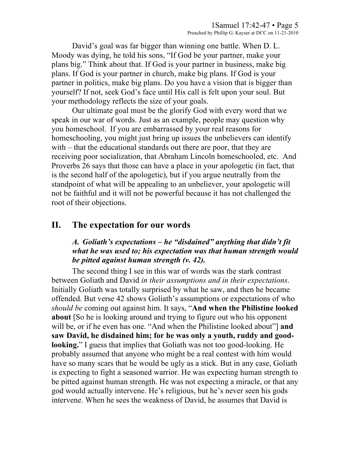David's goal was far bigger than winning one battle. When D. L. Moody was dying, he told his sons, "If God be your partner, make your plans big." Think about that. If God is your partner in business, make big plans. If God is your partner in church, make big plans. If God is your partner in politics, make big plans. Do you have a vision that is bigger than yourself? If not, seek God's face until His call is felt upon your soul. But your methodology reflects the size of your goals.

Our ultimate goal must be the glorify God with every word that we speak in our war of words. Just as an example, people may question why you homeschool. If you are embarrassed by your real reasons for homeschooling, you might just bring up issues the unbelievers can identify with – that the educational standards out there are poor, that they are receiving poor socialization, that Abraham Lincoln homeschooled, etc. And Proverbs 26 says that those can have a place in your apologetic (in fact, that is the second half of the apologetic), but if you argue neutrally from the standpoint of what will be appealing to an unbeliever, your apologetic will not be faithful and it will not be powerful because it has not challenged the root of their objections.

## **II. The expectation for our words**

#### *A. Goliath's expectations – he "disdained" anything that didn't fit what he was used to; his expectation was that human strength would be pitted against human strength (v. 42).*

The second thing I see in this war of words was the stark contrast between Goliath and David *in their assumptions and in their expectations*. Initially Goliath was totally surprised by what he saw, and then he became offended. But verse 42 shows Goliath's assumptions or expectations of who *should be* coming out against him. It says, "**And when the Philistine looked about** [So he is looking around and trying to figure out who his opponent will be, or if he even has one. "And when the Philistine looked about"] **and saw David, he disdained him; for he was only a youth, ruddy and goodlooking.**" I guess that implies that Goliath was not too good-looking. He probably assumed that anyone who might be a real contest with him would have so many scars that he would be ugly as a stick. But in any case, Goliath is expecting to fight a seasoned warrior. He was expecting human strength to be pitted against human strength. He was not expecting a miracle, or that any god would actually intervene. He's religious, but he's never seen his gods intervene. When he sees the weakness of David, he assumes that David is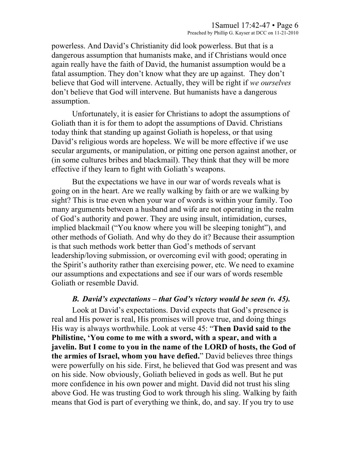powerless. And David's Christianity did look powerless. But that is a dangerous assumption that humanists make, and if Christians would once again really have the faith of David, the humanist assumption would be a fatal assumption. They don't know what they are up against. They don't believe that God will intervene. Actually, they will be right if *we ourselves* don't believe that God will intervene. But humanists have a dangerous assumption.

Unfortunately, it is easier for Christians to adopt the assumptions of Goliath than it is for them to adopt the assumptions of David. Christians today think that standing up against Goliath is hopeless, or that using David's religious words are hopeless. We will be more effective if we use secular arguments, or manipulation, or pitting one person against another, or (in some cultures bribes and blackmail). They think that they will be more effective if they learn to fight with Goliath's weapons.

But the expectations we have in our war of words reveals what is going on in the heart. Are we really walking by faith or are we walking by sight? This is true even when your war of words is within your family. Too many arguments between a husband and wife are not operating in the realm of God's authority and power. They are using insult, intimidation, curses, implied blackmail ("You know where you will be sleeping tonight"), and other methods of Goliath. And why do they do it? Because their assumption is that such methods work better than God's methods of servant leadership/loving submission, or overcoming evil with good; operating in the Spirit's authority rather than exercising power, etc. We need to examine our assumptions and expectations and see if our wars of words resemble Goliath or resemble David.

#### *B. David's expectations – that God's victory would be seen (v. 45).*

Look at David's expectations. David expects that God's presence is real and His power is real, His promises will prove true, and doing things His way is always worthwhile. Look at verse 45: "**Then David said to the Philistine, 'You come to me with a sword, with a spear, and with a javelin. But I come to you in the name of the LORD of hosts, the God of the armies of Israel, whom you have defied.**" David believes three things were powerfully on his side. First, he believed that God was present and was on his side. Now obviously, Goliath believed in gods as well. But he put more confidence in his own power and might. David did not trust his sling above God. He was trusting God to work through his sling. Walking by faith means that God is part of everything we think, do, and say. If you try to use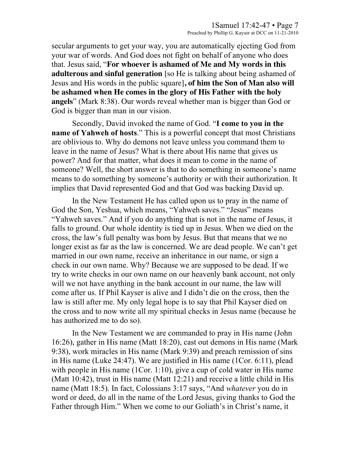secular arguments to get your way, you are automatically ejecting God from your war of words. And God does not fight on behalf of anyone who does that. Jesus said, "**For whoever is ashamed of Me and My words in this adulterous and sinful generation** [so He is talking about being ashamed of Jesus and His words in the public square]**, of him the Son of Man also will be ashamed when He comes in the glory of His Father with the holy angels**" (Mark 8:38). Our words reveal whether man is bigger than God or God is bigger than man in our vision.

Secondly, David invoked the name of God. "**I come to you in the name of Yahweh of hosts**." This is a powerful concept that most Christians are oblivious to. Why do demons not leave unless you command them to leave in the name of Jesus? What is there about His name that gives us power? And for that matter, what does it mean to come in the name of someone? Well, the short answer is that to do something in someone's name means to do something by someone's authority or with their authorization. It implies that David represented God and that God was backing David up.

In the New Testament He has called upon us to pray in the name of God the Son, Yeshua, which means, "Yahweh saves." "Jesus" means "Yahweh saves." And if you do anything that is not in the name of Jesus, it falls to ground. Our whole identity is tied up in Jesus. When we died on the cross, the law's full penalty was born by Jesus. But that means that we no longer exist as far as the law is concerned. We are dead people. We can't get married in our own name, receive an inheritance in our name, or sign a check in our own name. Why? Because we are supposed to be dead. If we try to write checks in our own name on our heavenly bank account, not only will we not have anything in the bank account in our name, the law will come after us. If Phil Kayser is alive and I didn't die on the cross, then the law is still after me. My only legal hope is to say that Phil Kayser died on the cross and to now write all my spiritual checks in Jesus name (because he has authorized me to do so).

In the New Testament we are commanded to pray in His name (John 16:26), gather in His name (Matt 18:20), cast out demons in His name (Mark 9:38), work miracles in His name (Mark 9:39) and preach remission of sins in His name (Luke 24:47). We are justified in His name (1Cor. 6:11), plead with people in His name (1Cor. 1:10), give a cup of cold water in His name (Matt 10:42), trust in His name (Matt 12:21) and receive a little child in His name (Matt 18:5). In fact, Colossians 3:17 says, "And *whatever* you do in word or deed, do all in the name of the Lord Jesus, giving thanks to God the Father through Him." When we come to our Goliath's in Christ's name, it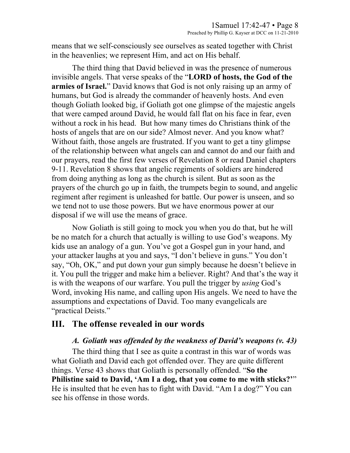means that we self-consciously see ourselves as seated together with Christ in the heavenlies; we represent Him, and act on His behalf.

The third thing that David believed in was the presence of numerous invisible angels. That verse speaks of the "**LORD of hosts, the God of the armies of Israel.**" David knows that God is not only raising up an army of humans, but God is already the commander of heavenly hosts. And even though Goliath looked big, if Goliath got one glimpse of the majestic angels that were camped around David, he would fall flat on his face in fear, even without a rock in his head. But how many times do Christians think of the hosts of angels that are on our side? Almost never. And you know what? Without faith, those angels are frustrated. If you want to get a tiny glimpse of the relationship between what angels can and cannot do and our faith and our prayers, read the first few verses of Revelation 8 or read Daniel chapters 9-11. Revelation 8 shows that angelic regiments of soldiers are hindered from doing anything as long as the church is silent. But as soon as the prayers of the church go up in faith, the trumpets begin to sound, and angelic regiment after regiment is unleashed for battle. Our power is unseen, and so we tend not to use those powers. But we have enormous power at our disposal if we will use the means of grace.

Now Goliath is still going to mock you when you do that, but he will be no match for a church that actually is willing to use God's weapons. My kids use an analogy of a gun. You've got a Gospel gun in your hand, and your attacker laughs at you and says, "I don't believe in guns." You don't say, "Oh, OK," and put down your gun simply because he doesn't believe in it. You pull the trigger and make him a believer. Right? And that's the way it is with the weapons of our warfare. You pull the trigger by *using* God's Word, invoking His name, and calling upon His angels. We need to have the assumptions and expectations of David. Too many evangelicals are "practical Deists."

## **III. The offense revealed in our words**

### *A. Goliath was offended by the weakness of David's weapons (v. 43)*

The third thing that I see as quite a contrast in this war of words was what Goliath and David each got offended over. They are quite different things. Verse 43 shows that Goliath is personally offended. "**So the Philistine said to David, 'Am I a dog, that you come to me with sticks?'**" He is insulted that he even has to fight with David. "Am I a dog?" You can see his offense in those words.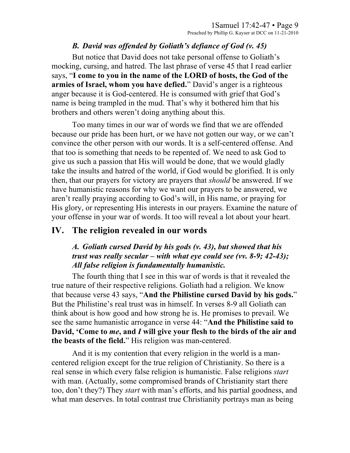#### *B. David was offended by Goliath's defiance of God (v. 45)*

But notice that David does not take personal offense to Goliath's mocking, cursing, and hatred. The last phrase of verse 45 that I read earlier says, "**I come to you in the name of the LORD of hosts, the God of the armies of Israel, whom you have defied.**" David's anger is a righteous anger because it is God-centered. He is consumed with grief that God's name is being trampled in the mud. That's why it bothered him that his brothers and others weren't doing anything about this.

Too many times in our war of words we find that we are offended because our pride has been hurt, or we have not gotten our way, or we can't convince the other person with our words. It is a self-centered offense. And that too is something that needs to be repented of. We need to ask God to give us such a passion that His will would be done, that we would gladly take the insults and hatred of the world, if God would be glorified. It is only then, that our prayers for victory are prayers that *should* be answered. If we have humanistic reasons for why we want our prayers to be answered, we aren't really praying according to God's will, in His name, or praying for His glory, or representing His interests in our prayers. Examine the nature of your offense in your war of words. It too will reveal a lot about your heart.

# **IV. The religion revealed in our words**

### *A. Goliath cursed David by his gods (v. 43), but showed that his trust was really secular – with what eye could see (vv. 8-9; 42-43); All false religion is fundamentally humanistic.*

The fourth thing that I see in this war of words is that it revealed the true nature of their respective religions. Goliath had a religion. We know that because verse 43 says, "**And the Philistine cursed David by his gods.**" But the Philistine's real trust was in himself. In verses 8-9 all Goliath can think about is how good and how strong he is. He promises to prevail. We see the same humanistic arrogance in verse 44: "**And the Philistine said to David, 'Come to** *me***, and** *I* **will give your flesh to the birds of the air and the beasts of the field.**" His religion was man-centered.

And it is my contention that every religion in the world is a mancentered religion except for the true religion of Christianity. So there is a real sense in which every false religion is humanistic. False religions *start* with man. (Actually, some compromised brands of Christianity start there too, don't they?) They *start* with man's efforts, and his partial goodness, and what man deserves. In total contrast true Christianity portrays man as being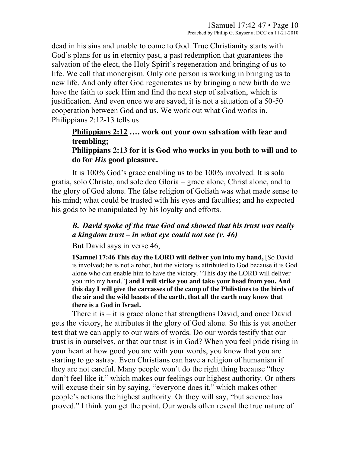dead in his sins and unable to come to God. True Christianity starts with God's plans for us in eternity past, a past redemption that guarantees the salvation of the elect, the Holy Spirit's regeneration and bringing of us to life. We call that monergism. Only one person is working in bringing us to new life. And only after God regenerates us by bringing a new birth do we have the faith to seek Him and find the next step of salvation, which is justification. And even once we are saved, it is not a situation of a 50-50 cooperation between God and us. We work out what God works in. Philippians 2:12-13 tells us:

# **Philippians 2:12 …. work out your own salvation with fear and trembling;**

#### **Philippians 2:13 for it is God who works in you both to will and to do for** *His* **good pleasure.**

It is 100% God's grace enabling us to be 100% involved. It is sola gratia, solo Christo, and sole deo Gloria – grace alone, Christ alone, and to the glory of God alone. The false religion of Goliath was what made sense to his mind; what could be trusted with his eyes and faculties; and he expected his gods to be manipulated by his loyalty and efforts.

### *B. David spoke of the true God and showed that his trust was really a kingdom trust – in what eye could not see (v. 46)*

But David says in verse 46,

**1Samuel 17:46 This day the LORD will deliver you into my hand,** [So David is involved; he is not a robot, but the victory is attributed to God because it is God alone who can enable him to have the victory. "This day the LORD will deliver you into my hand."] **and I will strike you and take your head from you. And this day I will give the carcasses of the camp of the Philistines to the birds of the air and the wild beasts of the earth, that all the earth may know that there is a God in Israel.** 

There it is – it is grace alone that strengthens David, and once David gets the victory, he attributes it the glory of God alone. So this is yet another test that we can apply to our wars of words. Do our words testify that our trust is in ourselves, or that our trust is in God? When you feel pride rising in your heart at how good you are with your words, you know that you are starting to go astray. Even Christians can have a religion of humanism if they are not careful. Many people won't do the right thing because "they don't feel like it," which makes our feelings our highest authority. Or others will excuse their sin by saying, "everyone does it," which makes other people's actions the highest authority. Or they will say, "but science has proved." I think you get the point. Our words often reveal the true nature of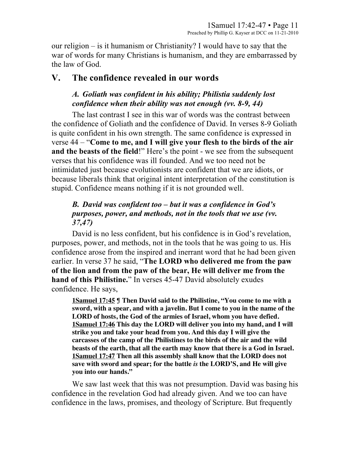our religion – is it humanism or Christianity? I would have to say that the war of words for many Christians is humanism, and they are embarrassed by the law of God.

## **V. The confidence revealed in our words**

## *A. Goliath was confident in his ability; Philistia suddenly lost confidence when their ability was not enough (vv. 8-9, 44)*

The last contrast I see in this war of words was the contrast between the confidence of Goliath and the confidence of David. In verses 8-9 Goliath is quite confident in his own strength. The same confidence is expressed in verse 44 – "**Come to me, and I will give your flesh to the birds of the air and the beasts of the field**!" Here's the point - we see from the subsequent verses that his confidence was ill founded. And we too need not be intimidated just because evolutionists are confident that we are idiots, or because liberals think that original intent interpretation of the constitution is stupid. Confidence means nothing if it is not grounded well.

## *B. David was confident too – but it was a confidence in God's purposes, power, and methods, not in the tools that we use (vv. 37,47)*

David is no less confident, but his confidence is in God's revelation, purposes, power, and methods, not in the tools that he was going to us. His confidence arose from the inspired and inerrant word that he had been given earlier. In verse 37 he said, "**The LORD who delivered me from the paw of the lion and from the paw of the bear, He will deliver me from the hand of this Philistine.**" In verses 45-47 David absolutely exudes confidence. He says,

**1Samuel 17:45 ¶ Then David said to the Philistine, "You come to me with a sword, with a spear, and with a javelin. But I come to you in the name of the LORD of hosts, the God of the armies of Israel, whom you have defied. 1Samuel 17:46 This day the LORD will deliver you into my hand, and I will strike you and take your head from you. And this day I will give the carcasses of the camp of the Philistines to the birds of the air and the wild beasts of the earth, that all the earth may know that there is a God in Israel. 1Samuel 17:47 Then all this assembly shall know that the LORD does not save with sword and spear; for the battle** *is* **the LORD'S, and He will give you into our hands."** 

We saw last week that this was not presumption. David was basing his confidence in the revelation God had already given. And we too can have confidence in the laws, promises, and theology of Scripture. But frequently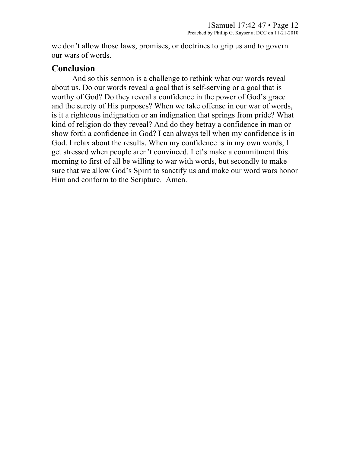we don't allow those laws, promises, or doctrines to grip us and to govern our wars of words.

## **Conclusion**

And so this sermon is a challenge to rethink what our words reveal about us. Do our words reveal a goal that is self-serving or a goal that is worthy of God? Do they reveal a confidence in the power of God's grace and the surety of His purposes? When we take offense in our war of words, is it a righteous indignation or an indignation that springs from pride? What kind of religion do they reveal? And do they betray a confidence in man or show forth a confidence in God? I can always tell when my confidence is in God. I relax about the results. When my confidence is in my own words, I get stressed when people aren't convinced. Let's make a commitment this morning to first of all be willing to war with words, but secondly to make sure that we allow God's Spirit to sanctify us and make our word wars honor Him and conform to the Scripture. Amen.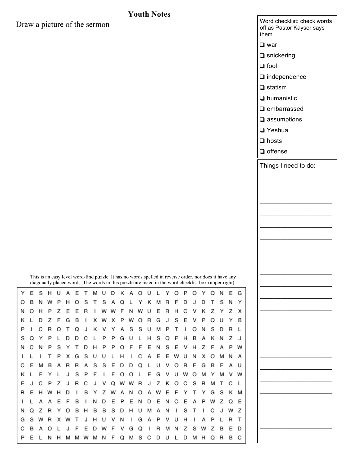#### **Youth Notes**

Draw a picture of the sermon

|        |                           |        |        |        |        | Word checklist: check words<br>off as Pastor Kayser says<br>them. |  |
|--------|---------------------------|--------|--------|--------|--------|-------------------------------------------------------------------|--|
|        |                           |        |        |        |        | $\Box$ war                                                        |  |
|        |                           |        |        |        |        | $\Box$ snickering                                                 |  |
|        |                           |        |        |        |        | $\Box$ fool                                                       |  |
|        |                           |        |        |        |        | $\Box$ independence                                               |  |
|        |                           |        |        |        |        | $\Box$ statism                                                    |  |
|        |                           |        |        |        |        | $\Box$ humanistic                                                 |  |
|        |                           |        |        |        |        | $\Box$ embarrassed                                                |  |
|        |                           |        |        |        |        | $\square$ assumptions                                             |  |
|        |                           |        |        |        |        | □ Yeshua                                                          |  |
|        |                           |        |        |        |        | $\Box$ hosts                                                      |  |
|        |                           |        |        |        |        | $\Box$ offense                                                    |  |
|        |                           |        |        |        |        |                                                                   |  |
|        |                           |        |        |        |        | Things I need to do:                                              |  |
|        |                           |        |        |        |        |                                                                   |  |
|        |                           |        |        |        |        |                                                                   |  |
|        |                           |        |        |        |        |                                                                   |  |
|        |                           |        |        |        |        |                                                                   |  |
|        |                           |        |        |        |        |                                                                   |  |
|        |                           |        |        |        |        |                                                                   |  |
|        |                           |        |        |        |        |                                                                   |  |
|        |                           |        |        |        |        |                                                                   |  |
|        |                           |        |        |        |        |                                                                   |  |
|        | ler, nor does it have any |        |        |        |        |                                                                   |  |
|        | cklist box (upper right). |        |        |        |        |                                                                   |  |
| O      | Υ                         | Q      | Ν      | E      | G      |                                                                   |  |
| J<br>٧ | D<br>Κ                    | т<br>Z | S<br>Υ | Ν<br>Z | Υ<br>х |                                                                   |  |
| v      | P                         | Q      | U      | Υ      | B      |                                                                   |  |
| O      | Ν                         | S      | D      | R      | L      |                                                                   |  |
| B      | Α                         | Κ      | Ν      | Z      | J      |                                                                   |  |
| н      | Z                         | F      | Α      | P      | W      |                                                                   |  |
| Ν      | х                         | O      | M      | Ν      | А      |                                                                   |  |
| F      | G                         | B      | F      | Α      | U      |                                                                   |  |
| O<br>S | M<br>R                    | Y<br>M | M<br>Т | ν<br>С | W<br>L |                                                                   |  |
| T      | Υ                         | G      | S      | Κ      | м      |                                                                   |  |
| Α      | P                         | W      | Z      | Q      | E      |                                                                   |  |
| т      | ı                         | С      | J      | W      | Z      |                                                                   |  |
| ı      | А                         | Ρ      | L      | R      | T      |                                                                   |  |
| S      | W                         | Z      | B      | E      | D      |                                                                   |  |

This is an easy level word-find puzzle. It has no words spelled in reverse order, nor does it have any diagonally placed words. The words in this puzzle are listed in the word checklist box (upper right). Υ E S Α Е Т М U D Κ Α O U Υ O P O Υ Q Ν Ε G н L B S T S A Q T S Ν Υ O N н O L Υ κ M R F D J D Ν O н P Z E Е R W W F Ν W U E  $\mathsf R$ н C V Κ Ζ Υ Z х I D Z G B X X P W O  $\mathsf R$ G S E P Q U Υ B κ L E I W J ٧ S P I C R O Т Q J. κ ٧ Υ Α S U M P Т I O Ν S D R L S C P P G U н S Q F B Α Κ Ζ J Q Υ Р L D D L L н Ν F E Z Ν C Ν P S Υ т D Н P P O F Ν S E ٧ н F Α P w S U U L Н L С Α E Ε W Ν х O M Α J. L Т P Х G U Ν ı E С E R Α S S D D Q L U ٧ O R F G B F Α U М в Α R F E κ L F J S P F I O O L G ٧ U w O M Υ M ٧ W Υ L Ε J C Z J R C ٧ Q W W R J Z κ O С S R M Т C L J R E н н D В Υ Z W А Ν O Α W Ε F Υ T Y G S κ M w P E J. L Α А Ε в I Ν D Е Ε Ν D Е Ν С Е Α P W z Q F Z S N Q z R Υ O в н в В D н U M Α N ı S т ı С J W G s W х U ٧ Ν J. G Α P U н Α P L R T R W Т J н ٧ ı G Z Ε D С в Α O J F Ε D W F ٧ Q L R M Ν Z s W в L P E L Ν H M м w M Ν F Q м S С D U L D M H Q R в C